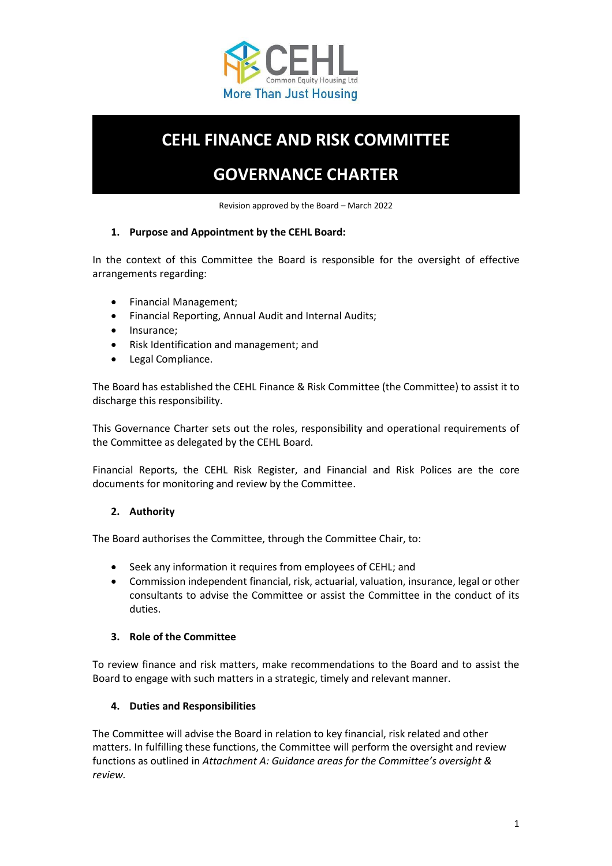

# **CEHL FINANCE AND RISK COMMITTEE**

# **GOVERNANCE CHARTER**

Revision approved by the Board – March 2022

## **1. Purpose and Appointment by the CEHL Board:**

In the context of this Committee the Board is responsible for the oversight of effective arrangements regarding:

- Financial Management;
- Financial Reporting, Annual Audit and Internal Audits;
- Insurance;
- Risk Identification and management; and
- Legal Compliance.

The Board has established the CEHL Finance & Risk Committee (the Committee) to assist it to discharge this responsibility.

This Governance Charter sets out the roles, responsibility and operational requirements of the Committee as delegated by the CEHL Board.

Financial Reports, the CEHL Risk Register, and Financial and Risk Polices are the core documents for monitoring and review by the Committee.

# **2. Authority**

The Board authorises the Committee, through the Committee Chair, to:

- Seek any information it requires from employees of CEHL; and
- Commission independent financial, risk, actuarial, valuation, insurance, legal or other consultants to advise the Committee or assist the Committee in the conduct of its duties.

#### **3. Role of the Committee**

To review finance and risk matters, make recommendations to the Board and to assist the Board to engage with such matters in a strategic, timely and relevant manner.

#### **4. Duties and Responsibilities**

The Committee will advise the Board in relation to key financial, risk related and other matters. In fulfilling these functions, the Committee will perform the oversight and review functions as outlined in *Attachment A: Guidance areas for the Committee's oversight & review.*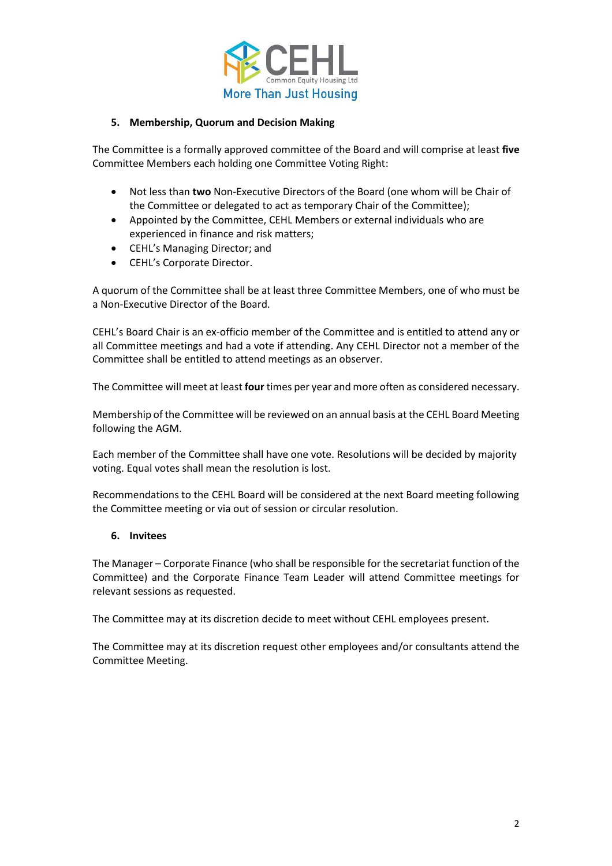

#### **5. Membership, Quorum and Decision Making**

The Committee is a formally approved committee of the Board and will comprise at least **five** Committee Members each holding one Committee Voting Right:

- Not less than **two** Non-Executive Directors of the Board (one whom will be Chair of the Committee or delegated to act as temporary Chair of the Committee);
- Appointed by the Committee, CEHL Members or external individuals who are experienced in finance and risk matters;
- CEHL's Managing Director; and
- CEHL's Corporate Director.

A quorum of the Committee shall be at least three Committee Members, one of who must be a Non-Executive Director of the Board.

CEHL's Board Chair is an ex-officio member of the Committee and is entitled to attend any or all Committee meetings and had a vote if attending. Any CEHL Director not a member of the Committee shall be entitled to attend meetings as an observer.

The Committee will meet at least **four** times per year and more often as considered necessary.

Membership of the Committee will be reviewed on an annual basis at the CEHL Board Meeting following the AGM.

Each member of the Committee shall have one vote. Resolutions will be decided by majority voting. Equal votes shall mean the resolution is lost.

Recommendations to the CEHL Board will be considered at the next Board meeting following the Committee meeting or via out of session or circular resolution.

#### **6. Invitees**

The Manager – Corporate Finance (who shall be responsible for the secretariat function of the Committee) and the Corporate Finance Team Leader will attend Committee meetings for relevant sessions as requested.

The Committee may at its discretion decide to meet without CEHL employees present.

The Committee may at its discretion request other employees and/or consultants attend the Committee Meeting.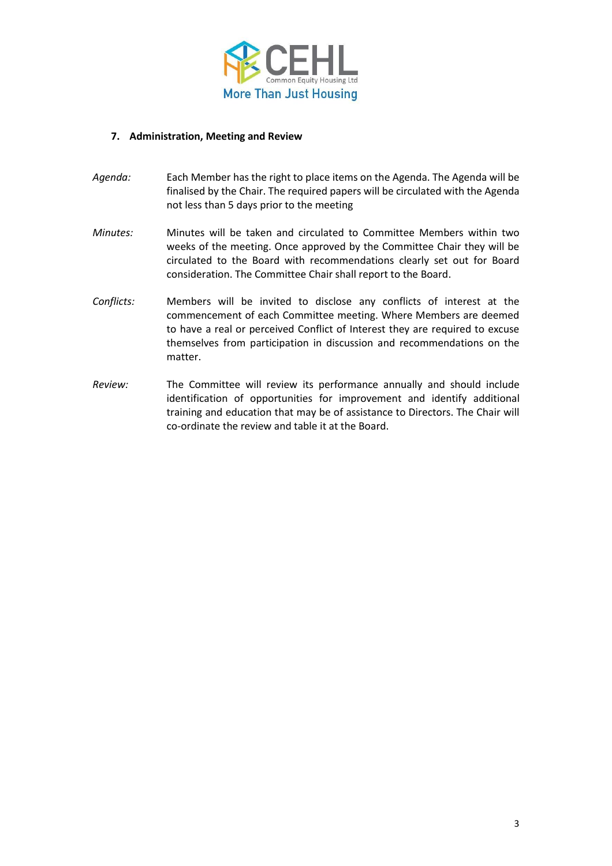

#### **7. Administration, Meeting and Review**

- *Agenda:* Each Member has the right to place items on the Agenda. The Agenda will be finalised by the Chair. The required papers will be circulated with the Agenda not less than 5 days prior to the meeting
- *Minutes:* Minutes will be taken and circulated to Committee Members within two weeks of the meeting. Once approved by the Committee Chair they will be circulated to the Board with recommendations clearly set out for Board consideration. The Committee Chair shall report to the Board.
- *Conflicts:* Members will be invited to disclose any conflicts of interest at the commencement of each Committee meeting. Where Members are deemed to have a real or perceived Conflict of Interest they are required to excuse themselves from participation in discussion and recommendations on the matter.
- *Review:* The Committee will review its performance annually and should include identification of opportunities for improvement and identify additional training and education that may be of assistance to Directors. The Chair will co-ordinate the review and table it at the Board.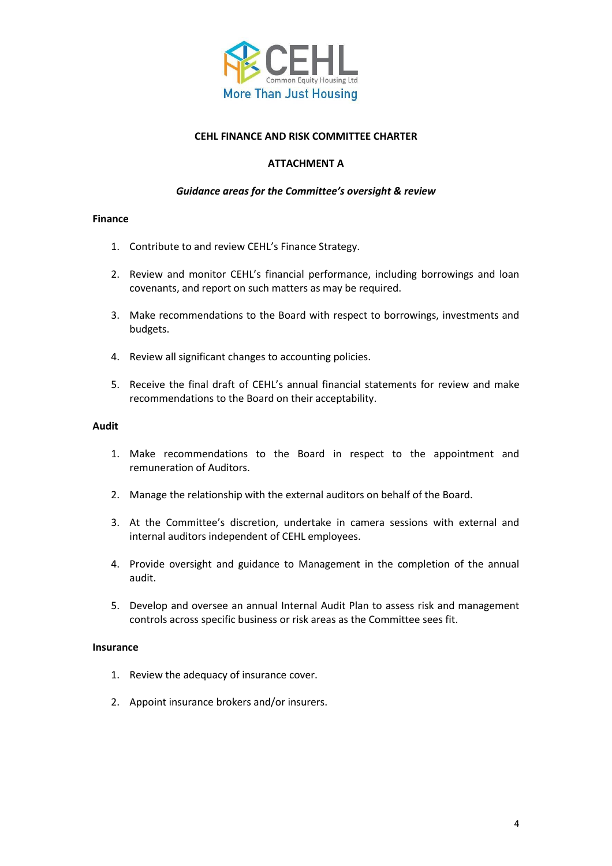

#### **CEHL FINANCE AND RISK COMMITTEE CHARTER**

#### **ATTACHMENT A**

## *Guidance areas for the Committee's oversight & review*

#### **Finance**

- 1. Contribute to and review CEHL's Finance Strategy.
- 2. Review and monitor CEHL's financial performance, including borrowings and loan covenants, and report on such matters as may be required.
- 3. Make recommendations to the Board with respect to borrowings, investments and budgets.
- 4. Review all significant changes to accounting policies.
- 5. Receive the final draft of CEHL's annual financial statements for review and make recommendations to the Board on their acceptability.

#### **Audit**

- 1. Make recommendations to the Board in respect to the appointment and remuneration of Auditors.
- 2. Manage the relationship with the external auditors on behalf of the Board.
- 3. At the Committee's discretion, undertake in camera sessions with external and internal auditors independent of CEHL employees.
- 4. Provide oversight and guidance to Management in the completion of the annual audit.
- 5. Develop and oversee an annual Internal Audit Plan to assess risk and management controls across specific business or risk areas as the Committee sees fit.

#### **Insurance**

- 1. Review the adequacy of insurance cover.
- 2. Appoint insurance brokers and/or insurers.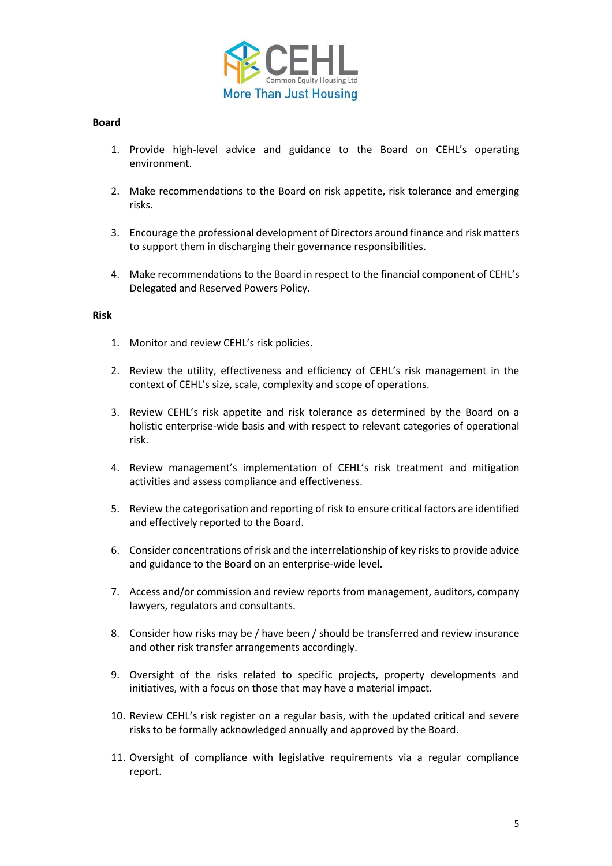

#### **Board**

- 1. Provide high-level advice and guidance to the Board on CEHL's operating environment.
- 2. Make recommendations to the Board on risk appetite, risk tolerance and emerging risks.
- 3. Encourage the professional development of Directors around finance and risk matters to support them in discharging their governance responsibilities.
- 4. Make recommendations to the Board in respect to the financial component of CEHL's Delegated and Reserved Powers Policy.

#### **Risk**

- 1. Monitor and review CEHL's risk policies.
- 2. Review the utility, effectiveness and efficiency of CEHL's risk management in the context of CEHL's size, scale, complexity and scope of operations.
- 3. Review CEHL's risk appetite and risk tolerance as determined by the Board on a holistic enterprise-wide basis and with respect to relevant categories of operational risk.
- 4. Review management's implementation of CEHL's risk treatment and mitigation activities and assess compliance and effectiveness.
- 5. Review the categorisation and reporting of risk to ensure critical factors are identified and effectively reported to the Board.
- 6. Consider concentrations of risk and the interrelationship of key risks to provide advice and guidance to the Board on an enterprise-wide level.
- 7. Access and/or commission and review reports from management, auditors, company lawyers, regulators and consultants.
- 8. Consider how risks may be / have been / should be transferred and review insurance and other risk transfer arrangements accordingly.
- 9. Oversight of the risks related to specific projects, property developments and initiatives, with a focus on those that may have a material impact.
- 10. Review CEHL's risk register on a regular basis, with the updated critical and severe risks to be formally acknowledged annually and approved by the Board.
- 11. Oversight of compliance with legislative requirements via a regular compliance report.